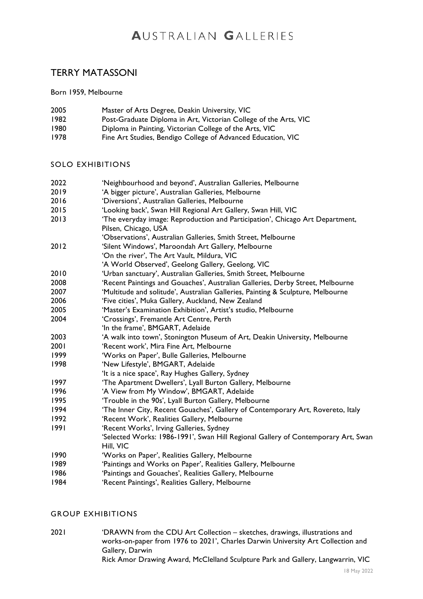# AUSTRALIAN GALLERIES

# TERRY MATASSONI

Born 1959, Melbourne

| 2005 | Master of Arts Degree, Deakin University, VIC                    |
|------|------------------------------------------------------------------|
| 1982 | Post-Graduate Diploma in Art, Victorian College of the Arts, VIC |
| 1980 | Diploma in Painting, Victorian College of the Arts, VIC          |
| 1978 | Fine Art Studies, Bendigo College of Advanced Education, VIC     |

#### SOLO EXHIBITIONS

| 2022 | 'Neighbourhood and beyond', Australian Galleries, Melbourne                       |
|------|-----------------------------------------------------------------------------------|
| 2019 | 'A bigger picture', Australian Galleries, Melbourne                               |
| 2016 | 'Diversions', Australian Galleries, Melbourne                                     |
| 2015 | 'Looking back', Swan Hill Regional Art Gallery, Swan Hill, VIC                    |
| 2013 | 'The everyday image: Reproduction and Participation', Chicago Art Department,     |
|      | Pilsen, Chicago, USA                                                              |
|      | 'Observations', Australian Galleries, Smith Street, Melbourne                     |
| 2012 | 'Silent Windows', Maroondah Art Gallery, Melbourne                                |
|      | 'On the river', The Art Vault, Mildura, VIC                                       |
|      | 'A World Observed', Geelong Gallery, Geelong, VIC                                 |
| 2010 | 'Urban sanctuary', Australian Galleries, Smith Street, Melbourne                  |
| 2008 | 'Recent Paintings and Gouaches', Australian Galleries, Derby Street, Melbourne    |
| 2007 | 'Multitude and solitude', Australian Galleries, Painting & Sculpture, Melbourne   |
| 2006 | 'Five cities', Muka Gallery, Auckland, New Zealand                                |
| 2005 | 'Master's Examination Exhibition', Artist's studio, Melbourne                     |
| 2004 | 'Crossings', Fremantle Art Centre, Perth                                          |
|      | 'In the frame', BMGART, Adelaide                                                  |
| 2003 | 'A walk into town', Stonington Museum of Art, Deakin University, Melbourne        |
| 2001 | 'Recent work', Mira Fine Art, Melbourne                                           |
| 1999 | 'Works on Paper', Bulle Galleries, Melbourne                                      |
| 1998 | 'New Lifestyle', BMGART, Adelaide                                                 |
|      | 'It is a nice space', Ray Hughes Gallery, Sydney                                  |
| 1997 | 'The Apartment Dwellers', Lyall Burton Gallery, Melbourne                         |
| 1996 | 'A View from My Window', BMGART, Adelaide                                         |
| 1995 | 'Trouble in the 90s', Lyall Burton Gallery, Melbourne                             |
| 1994 | 'The Inner City, Recent Gouaches', Gallery of Contemporary Art, Rovereto, Italy   |
| 1992 | 'Recent Work', Realities Gallery, Melbourne                                       |
| 1991 | 'Recent Works', Irving Galleries, Sydney                                          |
|      | 'Selected Works: 1986-1991', Swan Hill Regional Gallery of Contemporary Art, Swan |
|      | Hill, VIC                                                                         |
| 1990 | 'Works on Paper', Realities Gallery, Melbourne                                    |
| 1989 | 'Paintings and Works on Paper', Realities Gallery, Melbourne                      |

- 1986 'Paintings and Gouaches', Realities Gallery, Melbourne<br>1984 'Recent Paintings', Realities Gallery, Melbourne
- 'Recent Paintings', Realities Gallery, Melbourne

#### GROUP EXHIBITIONS

2021 'DRAWN from the CDU Art Collection – sketches, drawings, illustrations and works-on-paper from 1976 to 2021', Charles Darwin University Art Collection and Gallery, Darwin Rick Amor Drawing Award, McClelland Sculpture Park and Gallery, Langwarrin, VIC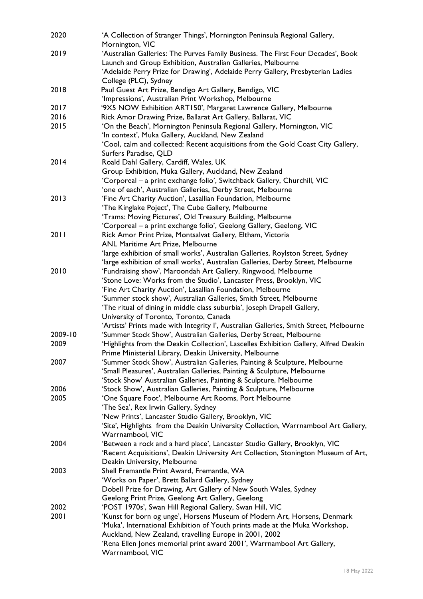| 2020    | 'A Collection of Stranger Things', Mornington Peninsula Regional Gallery,<br>Mornington, VIC                                      |
|---------|-----------------------------------------------------------------------------------------------------------------------------------|
| 2019    | 'Australian Galleries: The Purves Family Business. The First Four Decades', Book                                                  |
|         | Launch and Group Exhibition, Australian Galleries, Melbourne                                                                      |
|         | 'Adelaide Perry Prize for Drawing', Adelaide Perry Gallery, Presbyterian Ladies                                                   |
| 2018    | College (PLC), Sydney                                                                                                             |
|         | Paul Guest Art Prize, Bendigo Art Gallery, Bendigo, VIC                                                                           |
| 2017    | 'Impressions', Australian Print Workshop, Melbourne                                                                               |
| 2016    | '9X5 NOW Exhibition ART150', Margaret Lawrence Gallery, Melbourne<br>Rick Amor Drawing Prize, Ballarat Art Gallery, Ballarat, VIC |
| 2015    | 'On the Beach', Mornington Peninsula Regional Gallery, Mornington, VIC                                                            |
|         | 'In context', Muka Gallery, Auckland, New Zealand                                                                                 |
|         | 'Cool, calm and collected: Recent acquisitions from the Gold Coast City Gallery,                                                  |
|         | Surfers Paradise, QLD                                                                                                             |
| 2014    | Roald Dahl Gallery, Cardiff, Wales, UK                                                                                            |
|         | Group Exhibition, Muka Gallery, Auckland, New Zealand                                                                             |
|         | 'Corporeal - a print exchange folio', Switchback Gallery, Churchill, VIC                                                          |
|         | 'one of each', Australian Galleries, Derby Street, Melbourne                                                                      |
| 2013    | 'Fine Art Charity Auction', Lasallian Foundation, Melbourne                                                                       |
|         | 'The Kinglake Poject', The Cube Gallery, Melbourne                                                                                |
|         | 'Trams: Moving Pictures', Old Treasury Building, Melbourne                                                                        |
|         | 'Corporeal - a print exchange folio', Geelong Gallery, Geelong, VIC                                                               |
| 2011    | Rick Amor Print Prize, Montsalvat Gallery, Eltham, Victoria                                                                       |
|         | ANL Maritime Art Prize, Melbourne                                                                                                 |
|         | 'large exhibition of small works', Australian Galleries, Roylston Street, Sydney                                                  |
|         | 'large exhibition of small works', Australian Galleries, Derby Street, Melbourne                                                  |
| 2010    | 'Fundraising show', Maroondah Art Gallery, Ringwood, Melbourne                                                                    |
|         | 'Stone Love: Works from the Studio', Lancaster Press, Brooklyn, VIC                                                               |
|         | 'Fine Art Charity Auction', Lasallian Foundation, Melbourne                                                                       |
|         | 'Summer stock show', Australian Galleries, Smith Street, Melbourne                                                                |
|         | 'The ritual of dining in middle class suburbia', Joseph Drapell Gallery,                                                          |
|         | University of Toronto, Toronto, Canada                                                                                            |
|         | 'Artists' Prints made with Integrity I', Australian Galleries, Smith Street, Melbourne                                            |
| 2009-10 | 'Summer Stock Show', Australian Galleries, Derby Street, Melbourne                                                                |
| 2009    | 'Highlights from the Deakin Collection', Lascelles Exhibition Gallery, Alfred Deakin                                              |
|         | Prime Ministerial Library, Deakin University, Melbourne                                                                           |
| 2007    | 'Summer Stock Show', Australian Galleries, Painting & Sculpture, Melbourne                                                        |
|         | 'Small Pleasures', Australian Galleries, Painting & Sculpture, Melbourne                                                          |
|         | 'Stock Show' Australian Galleries, Painting & Sculpture, Melbourne                                                                |
| 2006    | 'Stock Show', Australian Galleries, Painting & Sculpture, Melbourne                                                               |
| 2005    | 'One Square Foot', Melbourne Art Rooms, Port Melbourne                                                                            |
|         | 'The Sea', Rex Irwin Gallery, Sydney                                                                                              |
|         | 'New Prints', Lancaster Studio Gallery, Brooklyn, VIC                                                                             |
|         | 'Site', Highlights from the Deakin University Collection, Warrnambool Art Gallery,                                                |
|         | Warrnambool, VIC                                                                                                                  |
| 2004    | 'Between a rock and a hard place', Lancaster Studio Gallery, Brooklyn, VIC                                                        |
|         | 'Recent Acquisitions', Deakin University Art Collection, Stonington Museum of Art,<br>Deakin University, Melbourne                |
| 2003    | Shell Fremantle Print Award, Fremantle, WA                                                                                        |
|         | 'Works on Paper', Brett Ballard Gallery, Sydney                                                                                   |
|         | Dobell Prize for Drawing, Art Gallery of New South Wales, Sydney                                                                  |
|         | Geelong Print Prize, Geelong Art Gallery, Geelong                                                                                 |
| 2002    | 'POST 1970s', Swan Hill Regional Gallery, Swan Hill, VIC                                                                          |
| 2001    | 'Kunst for born og unge', Horsens Museum of Modern Art, Horsens, Denmark                                                          |
|         | 'Muka', International Exhibition of Youth prints made at the Muka Workshop,                                                       |
|         | Auckland, New Zealand, travelling Europe in 2001, 2002                                                                            |
|         | 'Rena Ellen Jones memorial print award 2001', Warrnambool Art Gallery,                                                            |
|         | Warrnambool, VIC                                                                                                                  |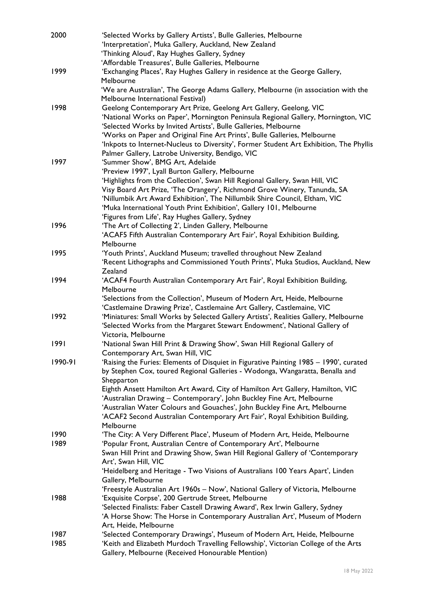| 2000    | 'Selected Works by Gallery Artists', Bulle Galleries, Melbourne                        |
|---------|----------------------------------------------------------------------------------------|
|         | 'Interpretation', Muka Gallery, Auckland, New Zealand                                  |
|         | 'Thinking Aloud', Ray Hughes Gallery, Sydney                                           |
|         | 'Affordable Treasures', Bulle Galleries, Melbourne                                     |
| 1999    | 'Exchanging Places', Ray Hughes Gallery in residence at the George Gallery,            |
|         | Melbourne                                                                              |
|         | 'We are Australian', The George Adams Gallery, Melbourne (in association with the      |
|         | Melbourne International Festival)                                                      |
| 1998    | Geelong Contemporary Art Prize, Geelong Art Gallery, Geelong, VIC                      |
|         | 'National Works on Paper', Mornington Peninsula Regional Gallery, Mornington, VIC      |
|         | 'Selected Works by Invited Artists', Bulle Galleries, Melbourne                        |
|         | 'Works on Paper and Original Fine Art Prints', Bulle Galleries, Melbourne              |
|         | 'Inkpots to Internet-Nucleus to Diversity', Former Student Art Exhibition, The Phyllis |
|         | Palmer Gallery, Latrobe University, Bendigo, VIC                                       |
| 1997    | 'Summer Show', BMG Art, Adelaide                                                       |
|         | 'Preview 1997', Lyall Burton Gallery, Melbourne                                        |
|         | 'Highlights from the Collection', Swan Hill Regional Gallery, Swan Hill, VIC           |
|         | Visy Board Art Prize, 'The Orangery', Richmond Grove Winery, Tanunda, SA               |
|         | 'Nillumbik Art Award Exhibition', The Nillumbik Shire Council, Eltham, VIC             |
|         | 'Muka International Youth Print Exhibition', Gallery 101, Melbourne                    |
|         | 'Figures from Life', Ray Hughes Gallery, Sydney                                        |
| 1996    | 'The Art of Collecting 2', Linden Gallery, Melbourne                                   |
|         | 'ACAF5 Fifth Australian Contemporary Art Fair', Royal Exhibition Building,             |
|         |                                                                                        |
|         | Melbourne                                                                              |
| 1995    | 'Youth Prints', Auckland Museum; travelled throughout New Zealand                      |
|         | 'Recent Lithographs and Commissioned Youth Prints', Muka Studios, Auckland, New        |
|         | Zealand                                                                                |
| 1994    | 'ACAF4 Fourth Australian Contemporary Art Fair', Royal Exhibition Building,            |
|         | Melbourne                                                                              |
|         | 'Selections from the Collection', Museum of Modern Art, Heide, Melbourne               |
|         | 'Castlemaine Drawing Prize', Castlemaine Art Gallery, Castlemaine, VIC                 |
| 1992    | 'Miniatures: Small Works by Selected Gallery Artists', Realities Gallery, Melbourne    |
|         | 'Selected Works from the Margaret Stewart Endowment', National Gallery of              |
|         | Victoria, Melbourne                                                                    |
| 1991    | 'National Swan Hill Print & Drawing Show', Swan Hill Regional Gallery of               |
|         | Contemporary Art, Swan Hill, VIC                                                       |
| 1990-91 | 'Raising the Furies: Elements of Disquiet in Figurative Painting 1985 - 1990', curated |
|         | by Stephen Cox, toured Regional Galleries - Wodonga, Wangaratta, Benalla and           |
|         | Shepparton                                                                             |
|         | Eighth Ansett Hamilton Art Award, City of Hamilton Art Gallery, Hamilton, VIC          |
|         | 'Australian Drawing - Contemporary', John Buckley Fine Art, Melbourne                  |
|         | 'Australian Water Colours and Gouaches', John Buckley Fine Art, Melbourne              |
|         | 'ACAF2 Second Australian Contemporary Art Fair', Royal Exhibition Building,            |
|         | Melbourne                                                                              |
| 1990    | 'The City: A Very Different Place', Museum of Modern Art, Heide, Melbourne             |
| 1989    | 'Popular Front, Australian Centre of Contemporary Art', Melbourne                      |
|         | Swan Hill Print and Drawing Show, Swan Hill Regional Gallery of 'Contemporary          |
|         | Art', Swan Hill, VIC                                                                   |
|         | 'Heidelberg and Heritage - Two Visions of Australians 100 Years Apart', Linden         |
|         | Gallery, Melbourne                                                                     |
|         | 'Freestyle Australian Art 1960s - Now', National Gallery of Victoria, Melbourne        |
| 1988    | 'Exquisite Corpse', 200 Gertrude Street, Melbourne                                     |
|         | 'Selected Finalists: Faber Castell Drawing Award', Rex Irwin Gallery, Sydney           |
|         | 'A Horse Show: The Horse in Contemporary Australian Art', Museum of Modern             |
|         | Art, Heide, Melbourne                                                                  |
| 1987    | 'Selected Contemporary Drawings', Museum of Modern Art, Heide, Melbourne               |
| 1985    | 'Keith and Elizabeth Murdoch Travelling Fellowship', Victorian College of the Arts     |
|         | Gallery, Melbourne (Received Honourable Mention)                                       |
|         |                                                                                        |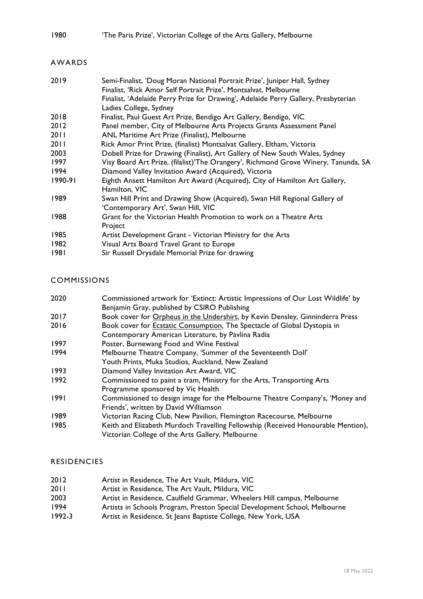## 1980 'The Paris Prize', Victorian College of the Arts Gallery, Melbourne

## AWARDS

| 2019    | Semi-Finalist, 'Doug Moran National Portrait Prize', Juniper Hall, Sydney          |
|---------|------------------------------------------------------------------------------------|
|         | Finalist, 'Rick Amor Self Portrait Prize', Montsalvat, Melbourne                   |
|         | Finalist, 'Adelaide Perry Prize for Drawing', Adelaide Perry Gallery, Presbyterian |
|         | Ladies College, Sydney                                                             |
| 2018    | Finalist, Paul Guest Art Prize, Bendigo Art Gallery, Bendigo, VIC                  |
| 2012    | Panel member, City of Melbourne Arts Projects Grants Assessment Panel              |
| 2011    | ANL Maritime Art Prize (Finalist), Melbourne                                       |
| 2011    | Rick Amor Print Prize, (finalist) Montsalvat Gallery, Eltham, Victoria             |
| 2003    | Dobell Prize for Drawing (Finalist), Art Gallery of New South Wales, Sydney        |
| 1997    | Visy Board Art Prize, (filalist)'The Orangery', Richmond Grove Winery, Tanunda, SA |
| 1994    | Diamond Valley Invitation Award (Acquired), Victoria                               |
| 1990-91 | Eighth Ansett Hamilton Art Award (Acquired), City of Hamilton Art Gallery,         |
|         | Hamilton, VIC                                                                      |
| 1989    | Swan Hill Print and Drawing Show (Acquired), Swan Hill Regional Gallery of         |
|         | 'Contemporary Art', Swan Hill, VIC                                                 |
| 1988    | Grant for the Victorian Health Promotion to work on a Theatre Arts                 |
|         | Project                                                                            |
| 1985    | Artist Development Grant - Victorian Ministry for the Arts                         |
| 1982    | Visual Arts Board Travel Grant to Europe                                           |
| 1981    | Sir Russell Drysdale Memorial Prize for drawing                                    |

## COMMISSIONS

| 2020 | Commissioned artwork for 'Extinct: Artistic Impressions of Our Lost Wildlife' by |
|------|----------------------------------------------------------------------------------|
|      | Benjamin Gray, published by CSIRO Publishing                                     |
| 2017 | Book cover for Orpheus in the Undershirt, by Kevin Densley, Ginninderra Press    |
| 2016 | Book cover for <b>Ecstatic Consumption</b> , The Spectacle of Global Dystopia in |
|      | Contemporary American Literature, by Pavlina Radia                               |
| 1997 | Poster, Burnewang Food and Wine Festival                                         |
| 1994 | Melbourne Theatre Company, 'Summer of the Seventeenth Doll'                      |
|      | Youth Prints, Muka Studios, Auckland, New Zealand                                |
| 1993 | Diamond Valley Invitation Art Award, VIC                                         |
| 1992 | Commissioned to paint a tram, Ministry for the Arts, Transporting Arts           |
|      | Programme sponsored by Vic Health                                                |
| 1991 | Commissioned to design image for the Melbourne Theatre Company's, 'Money and     |
|      | Friends', written by David Williamson                                            |
| 1989 | Victorian Racing Club, New Pavilion, Flemington Racecourse, Melbourne            |
| 1985 | Keith and Elizabeth Murdoch Travelling Fellowship (Received Honourable Mention), |
|      | Victorian College of the Arts Gallery, Melbourne                                 |
|      |                                                                                  |

#### RESIDENCIES

- 2012 Artist in Residence, The Art Vault, Mildura, VIC<br>2011 Artist in Residence, The Art Vault, Mildura, VIC
- Artist in Residence, The Art Vault, Mildura, VIC
- 2003 Artist in Residence, Caulfield Grammar, Wheelers Hill campus, Melbourne
- 1994 Artists in Schools Program, Preston Special Development School, Melbourne
- 1992-3 Artist in Residence, St Jeans Baptiste College, New York, USA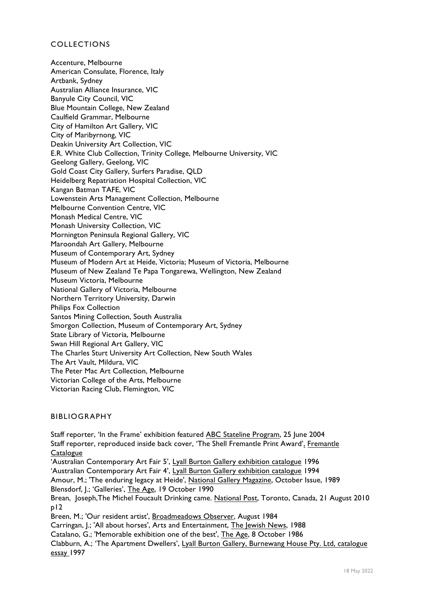#### COLLECTIONS

Accenture, Melbourne American Consulate, Florence, Italy Artbank, Sydney Australian Alliance Insurance, VIC Banyule City Council, VIC Blue Mountain College, New Zealand Caulfield Grammar, Melbourne City of Hamilton Art Gallery, VIC City of Maribyrnong, VIC Deakin University Art Collection, VIC E.R. White Club Collection, Trinity College, Melbourne University, VIC Geelong Gallery, Geelong, VIC Gold Coast City Gallery, Surfers Paradise, QLD Heidelberg Repatriation Hospital Collection, VIC Kangan Batman TAFE, VIC Lowenstein Arts Management Collection, Melbourne Melbourne Convention Centre, VIC Monash Medical Centre, VIC Monash University Collection, VIC Mornington Peninsula Regional Gallery, VIC Maroondah Art Gallery, Melbourne Museum of Contemporary Art, Sydney Museum of Modern Art at Heide, Victoria; Museum of Victoria, Melbourne Museum of New Zealand Te Papa Tongarewa, Wellington, New Zealand Museum Victoria, Melbourne National Gallery of Victoria, Melbourne Northern Territory University, Darwin Philips Fox Collection Santos Mining Collection, South Australia Smorgon Collection, Museum of Contemporary Art, Sydney State Library of Victoria, Melbourne Swan Hill Regional Art Gallery, VIC The Charles Sturt University Art Collection, New South Wales The Art Vault, Mildura, VIC The Peter Mac Art Collection, Melbourne Victorian College of the Arts, Melbourne Victorian Racing Club, Flemington, VIC

#### BIBLIOGRAPHY

Staff reporter, 'In the Frame' exhibition featured ABC Stateline Program, 25 June 2004 Staff reporter, reproduced inside back cover, 'The Shell Fremantle Print Award', Fremantle **Catalogue** 'Australian Contemporary Art Fair 5', Lyall Burton Gallery exhibition catalogue 1996 'Australian Contemporary Art Fair 4', Lyall Burton Gallery exhibition catalogue 1994 Amour, M.; 'The enduring legacy at Heide', National Gallery Magazine, October Issue, 1989 Blensdorf, J.; 'Galleries', The Age, 19 October 1990 Brean, Joseph, The Michel Foucault Drinking came. National Post, Toronto, Canada, 21 August 2010 p12 Breen, M.; 'Our resident artist', Broadmeadows Observer, August 1984 Carringan, J.; 'All about horses', Arts and Entertainment, The Jewish News, 1988 Catalano, G.; 'Memorable exhibition one of the best', The Age, 8 October 1986 Clabburn, A.; 'The Apartment Dwellers', Lyall Burton Gallery, Burnewang House Pty. Ltd, catalogue essay 1997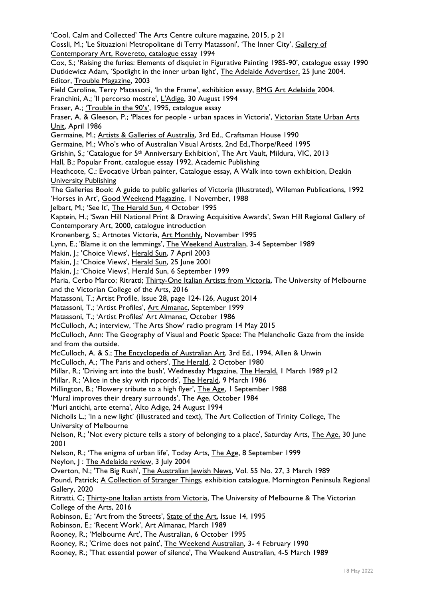'Cool, Calm and Collected' The Arts Centre culture magazine, 2015, p 21 Cossli, M.; 'Le Situazioni Metropolitane di Terry Matassoni', 'The Inner City', Gallery of Contemporary Art, Rovereto, catalogue essay 1994 Cox, S.; 'Raising the furies: Elements of disquiet in Figurative Painting 1985-90', catalogue essay 1990 Dutkiewicz Adam, 'Spotlight in the inner urban light', The Adelaide Advertiser, 25 June 2004. Editor, Trouble Magazine, 2003 Field Caroline, Terry Matassoni, 'In the Frame', exhibition essay, BMG Art Adelaide 2004. Franchini, A.; 'Il percorso mostre', L'Adige, 30 August 1994 Fraser, A.; 'Trouble in the 90's', 1995, catalogue essay Fraser, A. & Gleeson, P.; 'Places for people - urban spaces in Victoria', Victorian State Urban Arts Unit, April 1986 Germaine, M.; Artists & Galleries of Australia, 3rd Ed., Craftsman House 1990 Germaine, M.; Who's who of Australian Visual Artists, 2nd Ed.,Thorpe/Reed 1995 Grishin, S.; 'Catalogue for 5th Anniversary Exhibition', The Art Vault, Mildura, VIC, 2013 Hall, B.; Popular Front, catalogue essay 1992, Academic Publishing Heathcote, C.: Evocative Urban painter, Catalogue essay, A Walk into town exhibition, Deakin University Publishing The Galleries Book: A guide to public galleries of Victoria (Illustrated), Wileman Publications, 1992 'Horses in Art', Good Weekend Magazine, 1 November, 1988 Jelbart, M.; 'See It', The Herald Sun, 4 October 1995 Kaptein, H.; 'Swan Hill National Print & Drawing Acquisitive Awards', Swan Hill Regional Gallery of Contemporary Art, 2000, catalogue introduction Kronenberg, S.; Artnotes Victoria, Art Monthly, November 1995 Lynn, E.; 'Blame it on the lemmings', The Weekend Australian, 3-4 September 1989 Makin, J.; 'Choice Views', Herald Sun, 7 April 2003 Makin, J.; 'Choice Views', Herald Sun, 25 June 2001 Makin, J.; 'Choice Views', Herald Sun, 6 September 1999 Maria, Cerbo Marco; Ritratti; Thirty-One Italian Artists from Victoria, The University of Melbourne and the Victorian College of the Arts, 2016 Matassoni, T.; Artist Profile, Issue 28, page 124-126, August 2014 Matassoni, T.; 'Artist Profiles', Art Almanac, September 1999 Matassoni, T.; 'Artist Profiles' Art Almanac, October 1986 McCulloch, A.; interview, 'The Arts Show' radio program 14 May 2015 McCulloch, Ann: The Geography of Visual and Poetic Space: The Melancholic Gaze from the inside and from the outside. McCulloch, A. & S.; The Encyclopedia of Australian Art, 3rd Ed., 1994, Allen & Unwin McCulloch, A.; 'The Paris and others', The Herald, 2 October 1980 Millar, R.; 'Driving art into the bush', Wednesday Magazine, The Herald, 1 March 1989 p12 Millar, R.; 'Alice in the sky with ripcords', The Herald, 9 March 1986 Millington, B.; 'Flowery tribute to a high flyer', The Age, 1 September 1988 'Mural improves their dreary surrounds', The Age, October 1984 'Muri antichi, arte eterna', Alto Adige, 24 August 1994 Nicholls L.; 'In a new light' (illustrated and text), The Art Collection of Trinity College, The University of Melbourne Nelson, R.; 'Not every picture tells a story of belonging to a place', Saturday Arts, The Age, 30 June 2001 Nelson, R.; 'The enigma of urban life', Today Arts, The Age, 8 September 1999 Neylon, J : The Adelaide review, 3 July 2004 Overton, N.; 'The Big Rush', The Australian Jewish News, Vol. 55 No. 27, 3 March 1989 Pound, Patrick; A Collection of Stranger Things, exhibition catalogue, Mornington Peninsula Regional Gallery, 2020 Ritratti, C; Thirty-one Italian artists from Victoria, The University of Melbourne & The Victorian College of the Arts, 2016 Robinson, E.; 'Art from the Streets', State of the Art, Issue 14, 1995 Robinson, E.; 'Recent Work', Art Almanac, March 1989 Rooney, R.; 'Melbourne Art', The Australian, 6 October 1995 Rooney, R.; 'Crime does not paint', The Weekend Australian, 3- 4 February 1990 Rooney, R.; 'That essential power of silence', The Weekend Australian, 4-5 March 1989